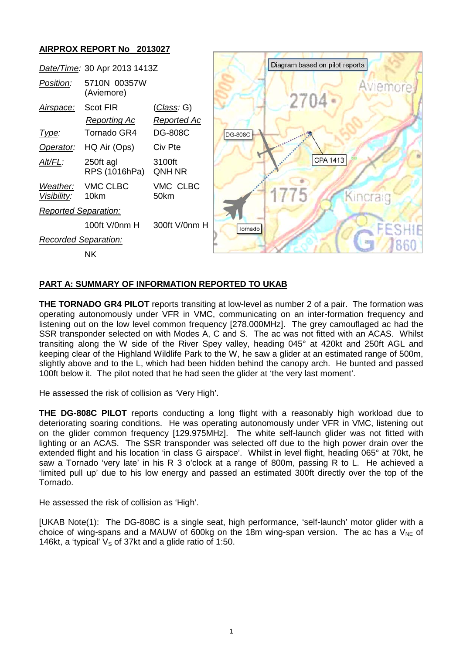# **AIRPROX REPORT No 2013027**



## **PART A: SUMMARY OF INFORMATION REPORTED TO UKAB**

**THE TORNADO GR4 PILOT** reports transiting at low-level as number 2 of a pair. The formation was operating autonomously under VFR in VMC, communicating on an inter-formation frequency and listening out on the low level common frequency [278.000MHz]. The grey camouflaged ac had the SSR transponder selected on with Modes A, C and S. The ac was not fitted with an ACAS. Whilst transiting along the W side of the River Spey valley, heading 045° at 420kt and 250ft AGL and keeping clear of the Highland Wildlife Park to the W, he saw a glider at an estimated range of 500m, slightly above and to the L, which had been hidden behind the canopy arch. He bunted and passed 100ft below it. The pilot noted that he had seen the glider at 'the very last moment'.

He assessed the risk of collision as 'Very High'.

**THE DG-808C PILOT** reports conducting a long flight with a reasonably high workload due to deteriorating soaring conditions. He was operating autonomously under VFR in VMC, listening out on the glider common frequency [129.975MHz]. The white self-launch glider was not fitted with lighting or an ACAS. The SSR transponder was selected off due to the high power drain over the extended flight and his location 'in class G airspace'. Whilst in level flight, heading 065° at 70kt, he saw a Tornado 'very late' in his R 3 o'clock at a range of 800m, passing R to L. He achieved a 'limited pull up' due to his low energy and passed an estimated 300ft directly over the top of the Tornado.

He assessed the risk of collision as 'High'.

[UKAB Note(1): The DG-808C is a single seat, high performance, 'self-launch' motor glider with a choice of wing-spans and a MAUW of 600kg on the 18m wing-span version. The ac has a  $V_{NE}$  of 146kt, a 'typical'  $V<sub>S</sub>$  of 37kt and a glide ratio of 1:50.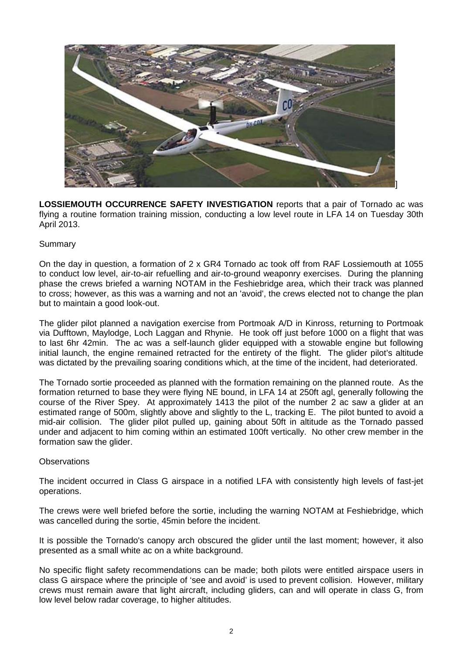

**LOSSIEMOUTH OCCURRENCE SAFETY INVESTIGATION** reports that a pair of Tornado ac was flying a routine formation training mission, conducting a low level route in LFA 14 on Tuesday 30th April 2013.

### Summary

On the day in question, a formation of 2 x GR4 Tornado ac took off from RAF Lossiemouth at 1055 to conduct low level, air-to-air refuelling and air-to-ground weaponry exercises. During the planning phase the crews briefed a warning NOTAM in the Feshiebridge area, which their track was planned to cross; however, as this was a warning and not an 'avoid', the crews elected not to change the plan but to maintain a good look-out.

The glider pilot planned a navigation exercise from Portmoak A/D in Kinross, returning to Portmoak via Dufftown, Maylodge, Loch Laggan and Rhynie. He took off just before 1000 on a flight that was to last 6hr 42min. The ac was a self-launch glider equipped with a stowable engine but following initial launch, the engine remained retracted for the entirety of the flight. The glider pilot's altitude was dictated by the prevailing soaring conditions which, at the time of the incident, had deteriorated.

The Tornado sortie proceeded as planned with the formation remaining on the planned route. As the formation returned to base they were flying NE bound, in LFA 14 at 250ft agl, generally following the course of the River Spey. At approximately 1413 the pilot of the number 2 ac saw a glider at an estimated range of 500m, slightly above and slightly to the L, tracking E. The pilot bunted to avoid a mid-air collision. The glider pilot pulled up, gaining about 50ft in altitude as the Tornado passed under and adjacent to him coming within an estimated 100ft vertically. No other crew member in the formation saw the glider.

#### **Observations**

The incident occurred in Class G airspace in a notified LFA with consistently high levels of fast-jet operations.

The crews were well briefed before the sortie, including the warning NOTAM at Feshiebridge, which was cancelled during the sortie, 45min before the incident.

It is possible the Tornado's canopy arch obscured the glider until the last moment; however, it also presented as a small white ac on a white background.

No specific flight safety recommendations can be made; both pilots were entitled airspace users in class G airspace where the principle of 'see and avoid' is used to prevent collision. However, military crews must remain aware that light aircraft, including gliders, can and will operate in class G, from low level below radar coverage, to higher altitudes.